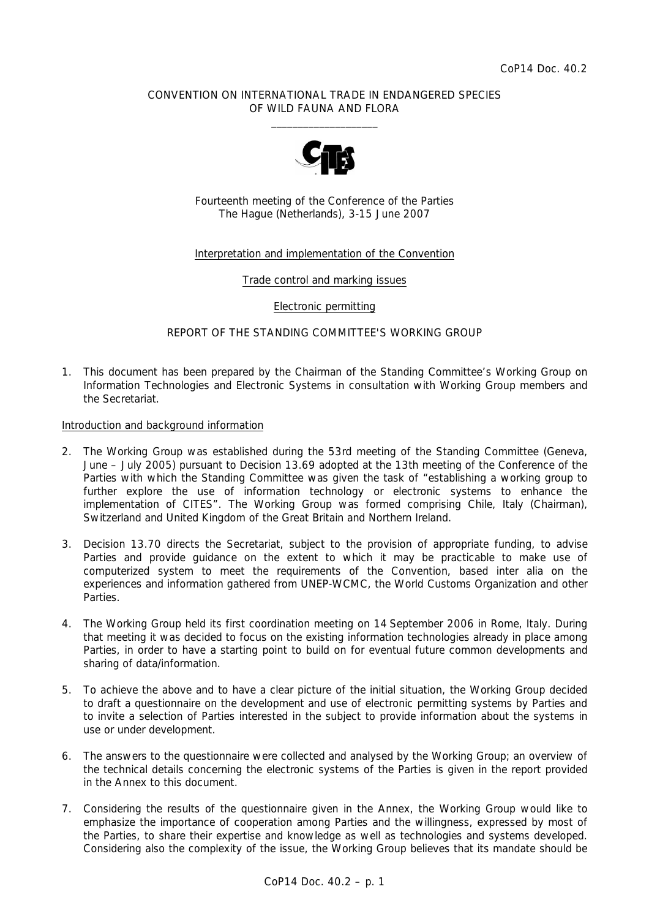## CONVENTION ON INTERNATIONAL TRADE IN ENDANGERED SPECIES OF WILD FAUNA AND FLORA  $\frac{1}{2}$  , and the set of the set of the set of the set of the set of the set of the set of the set of the set of the set of the set of the set of the set of the set of the set of the set of the set of the set of the set



Fourteenth meeting of the Conference of the Parties The Hague (Netherlands), 3-15 June 2007

# Interpretation and implementation of the Convention

Trade control and marking issues

Electronic permitting

REPORT OF THE STANDING COMMITTEE'S WORKING GROUP

1. This document has been prepared by the Chairman of the Standing Committee's Working Group on Information Technologies and Electronic Systems in consultation with Working Group members and the Secretariat.

Introduction and background information

- 2. The Working Group was established during the 53rd meeting of the Standing Committee (Geneva, June – July 2005) pursuant to Decision 13.69 adopted at the 13th meeting of the Conference of the Parties with which the Standing Committee was given the task of "establishing a working group to further explore the use of information technology or electronic systems to enhance the implementation of CITES". The Working Group was formed comprising Chile, Italy (Chairman), Switzerland and United Kingdom of the Great Britain and Northern Ireland.
- 3. Decision 13.70 directs the Secretariat, subject to the provision of appropriate funding, to advise Parties and provide guidance on the extent to which it may be practicable to make use of computerized system to meet the requirements of the Convention, based inter alia on the experiences and information gathered from UNEP-WCMC, the World Customs Organization and other Parties.
- 4. The Working Group held its first coordination meeting on 14 September 2006 in Rome, Italy. During that meeting it was decided to focus on the existing information technologies already in place among Parties, in order to have a starting point to build on for eventual future common developments and sharing of data/information.
- 5. To achieve the above and to have a clear picture of the initial situation, the Working Group decided to draft a questionnaire on the development and use of electronic permitting systems by Parties and to invite a selection of Parties interested in the subject to provide information about the systems in use or under development.
- 6. The answers to the questionnaire were collected and analysed by the Working Group; an overview of the technical details concerning the electronic systems of the Parties is given in the report provided in the Annex to this document.
- 7. Considering the results of the questionnaire given in the Annex, the Working Group would like to emphasize the importance of cooperation among Parties and the willingness, expressed by most of the Parties, to share their expertise and knowledge as well as technologies and systems developed. Considering also the complexity of the issue, the Working Group believes that its mandate should be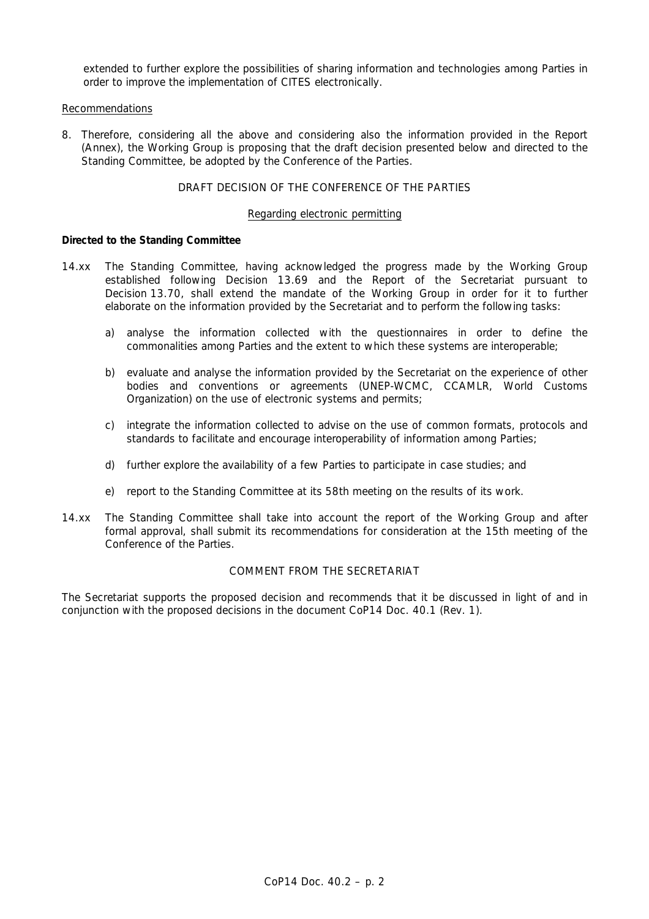extended to further explore the possibilities of sharing information and technologies among Parties in order to improve the implementation of CITES electronically.

## Recommendations

8. Therefore, considering all the above and considering also the information provided in the Report (Annex), the Working Group is proposing that the draft decision presented below and directed to the Standing Committee, be adopted by the Conference of the Parties.

## DRAFT DECISION OF THE CONFERENCE OF THE PARTIES

### Regarding electronic permitting

## *Directed to the Standing Committee*

- 14.xx The Standing Committee, having acknowledged the progress made by the Working Group established following Decision 13.69 and the Report of the Secretariat pursuant to Decision 13.70, shall extend the mandate of the Working Group in order for it to further elaborate on the information provided by the Secretariat and to perform the following tasks:
	- a) analyse the information collected with the questionnaires in order to define the commonalities among Parties and the extent to which these systems are interoperable;
	- b) evaluate and analyse the information provided by the Secretariat on the experience of other bodies and conventions or agreements (UNEP-WCMC, CCAMLR, World Customs Organization) on the use of electronic systems and permits;
	- c) integrate the information collected to advise on the use of common formats, protocols and standards to facilitate and encourage interoperability of information among Parties;
	- d) further explore the availability of a few Parties to participate in case studies; and
	- e) report to the Standing Committee at its 58th meeting on the results of its work.
- 14.xx The Standing Committee shall take into account the report of the Working Group and after formal approval, shall submit its recommendations for consideration at the 15th meeting of the Conference of the Parties.

# COMMENT FROM THE SECRETARIAT

The Secretariat supports the proposed decision and recommends that it be discussed in light of and in conjunction with the proposed decisions in the document CoP14 Doc. 40.1 (Rev. 1).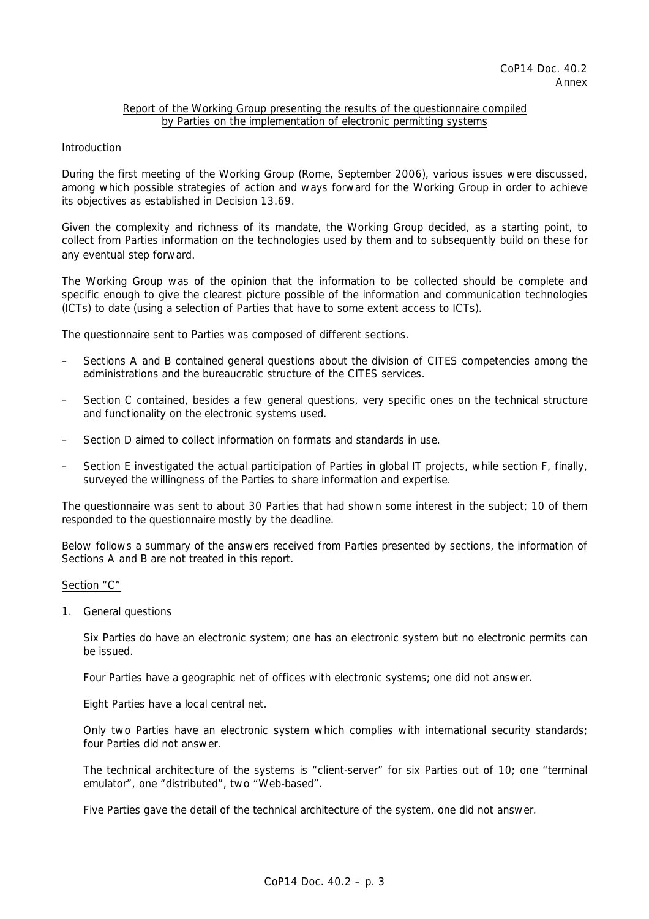### Report of the Working Group presenting the results of the questionnaire compiled by Parties on the implementation of electronic permitting systems

#### Introduction

During the first meeting of the Working Group (Rome, September 2006), various issues were discussed, among which possible strategies of action and ways forward for the Working Group in order to achieve its objectives as established in Decision 13.69.

Given the complexity and richness of its mandate, the Working Group decided, as a starting point, to collect from Parties information on the technologies used by them and to subsequently build on these for any eventual step forward.

The Working Group was of the opinion that the information to be collected should be complete and specific enough to give the clearest picture possible of the information and communication technologies (ICTs) to date (using a selection of Parties that have to some extent access to ICTs).

The questionnaire sent to Parties was composed of different sections.

- Sections A and B contained general questions about the division of CITES competencies among the administrations and the bureaucratic structure of the CITES services.
- Section C contained, besides a few general questions, very specific ones on the technical structure and functionality on the electronic systems used.
- Section D aimed to collect information on formats and standards in use.
- Section E investigated the actual participation of Parties in global IT projects, while section F, finally, surveyed the willingness of the Parties to share information and expertise.

The questionnaire was sent to about 30 Parties that had shown some interest in the subject; 10 of them responded to the questionnaire mostly by the deadline.

Below follows a summary of the answers received from Parties presented by sections, the information of Sections A and B are not treated in this report.

#### Section "C"

1. General questions

 Six Parties do have an electronic system; one has an electronic system but no electronic permits can be issued.

Four Parties have a geographic net of offices with electronic systems; one did not answer.

Eight Parties have a local central net.

 Only two Parties have an electronic system which complies with international security standards; four Parties did not answer.

 The technical architecture of the systems is "client-server" for six Parties out of 10; one "terminal emulator", one "distributed", two "Web-based".

Five Parties gave the detail of the technical architecture of the system, one did not answer.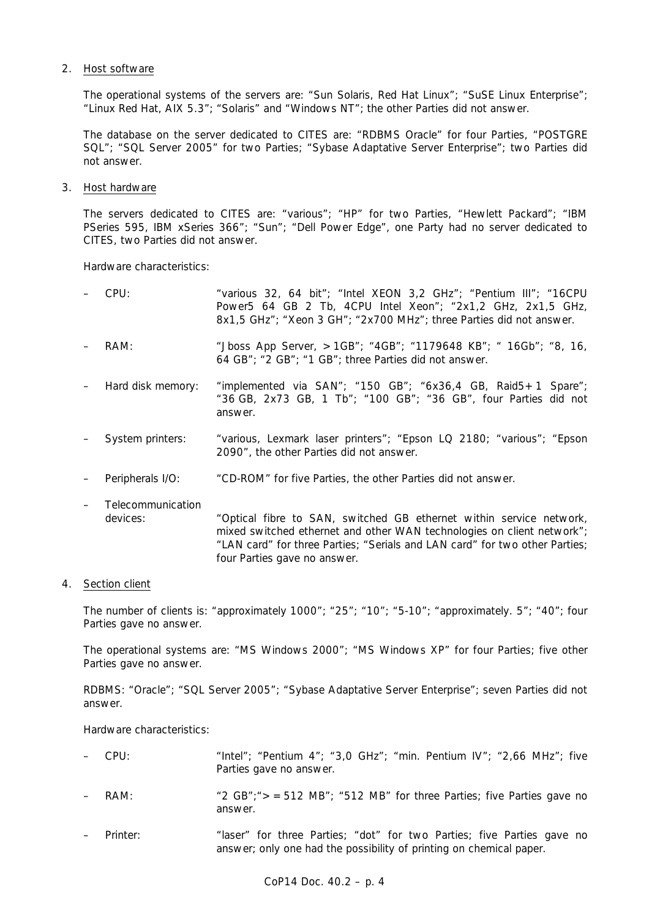## 2. Host software

The operational systems of the servers are: "Sun Solaris, Red Hat Linux"; "SuSE Linux Enterprise"; "Linux Red Hat, AIX 5.3"; "Solaris" and "Windows NT"; the other Parties did not answer.

 The database on the server dedicated to CITES are: "RDBMS Oracle" for four Parties, "POSTGRE SQL"; "SQL Server 2005" for two Parties; "Sybase Adaptative Server Enterprise"; two Parties did not answer.

3. Host hardware

 The servers dedicated to CITES are: "various"; "HP" for two Parties, "Hewlett Packard"; "IBM PSeries 595, IBM xSeries 366"; "Sun"; "Dell Power Edge", one Party had no server dedicated to CITES, two Parties did not answer.

Hardware characteristics:

| $-$ CPU:          | "various 32, 64 bit"; "Intel XEON 3,2 GHz"; "Pentium III"; "16CPU<br>Power5 64 GB 2 Tb, 4CPU Intel Xeon"; "2x1,2 GHz, 2x1,5 GHz,<br>8x1,5 GHz"; "Xeon 3 GH"; "2x700 MHz"; three Parties did not answer. |
|-------------------|---------------------------------------------------------------------------------------------------------------------------------------------------------------------------------------------------------|
| RAM:              | "Jboss App Server, $>1$ GB"; "4GB"; "1179648 KB"; " 16Gb"; "8, 16,<br>64 GB"; "2 GB"; "1 GB"; three Parties did not answer.                                                                             |
| Hard disk memory: | "implemented via $SAN$ "; "150 $GB$ "; "6x36,4 $GB$ , Raid5 + 1 Spare";<br>"36 GB, 2x73 GB, 1 Tb"; "100 GB"; "36 GB", four Parties did not<br>answer.                                                   |
| System printers:  | "various, Lexmark laser printers"; "Epson LQ 2180; "various"; "Epson<br>2090", the other Parties did not answer.                                                                                        |
| Peripherals I/O:  | "CD-ROM" for five Parties, the other Parties did not answer.                                                                                                                                            |
| Telecommunication |                                                                                                                                                                                                         |

 devices: "Optical fibre to SAN, switched GB ethernet within service network, mixed switched ethernet and other WAN technologies on client network"; "LAN card" for three Parties; "Serials and LAN card" for two other Parties; four Parties gave no answer.

# 4. Section client

 The number of clients is: "approximately 1000"; "25"; "10"; "5-10"; "approximately. 5"; "40"; four Parties gave no answer.

 The operational systems are: "MS Windows 2000"; "MS Windows XP" for four Parties; five other Parties gave no answer.

 RDBMS: "Oracle"; "SQL Server 2005"; "Sybase Adaptative Server Enterprise"; seven Parties did not answer.

Hardware characteristics:

| $-$ CPU: | "Intel"; "Pentium $4$ "; "3,0 GHz"; "min. Pentium IV"; "2,66 MHz"; five |
|----------|-------------------------------------------------------------------------|
|          | Parties gave no answer.                                                 |

- RAM:  $"2 GB"$ ;  $=512 MB"$ ; "512 MB" for three Parties; five Parties gave no answer.
- Printer: "laser" for three Parties; "dot" for two Parties; five Parties gave no answer; only one had the possibility of printing on chemical paper.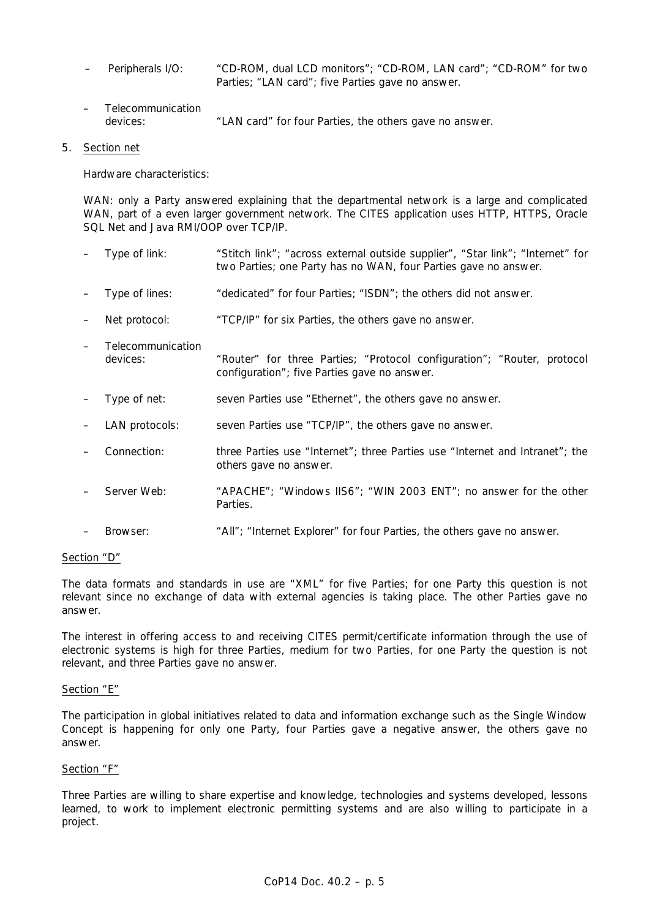- Peripherals I/O: "CD-ROM, dual LCD monitors"; "CD-ROM, LAN card"; "CD-ROM" for two Parties; "LAN card"; five Parties gave no answer.
- Telecommunication devices: "LAN card" for four Parties, the others gave no answer.

### 5. Section net

Hardware characteristics:

WAN: only a Party answered explaining that the departmental network is a large and complicated WAN, part of a even larger government network. The CITES application uses HTTP, HTTPS, Oracle SQL Net and Java RMI/OOP over TCP/IP.

- Type of link: "Stitch link"; "across external outside supplier", "Star link"; "Internet" for two Parties; one Party has no WAN, four Parties gave no answer. – Type of lines: "dedicated" for four Parties; "ISDN"; the others did not answer.
- Net protocol: "TCP/IP" for six Parties, the others gave no answer.
- Telecommunication devices: "Router" for three Parties; "Protocol configuration"; "Router, protocol configuration"; five Parties gave no answer.
- Type of net: seven Parties use "Ethernet", the others gave no answer.
- LAN protocols: seven Parties use "TCP/IP", the others gave no answer.
- Connection: three Parties use "Internet"; three Parties use "Internet and Intranet"; the others gave no answer.
- Server Web: "APACHE"; "Windows IIS6"; "WIN 2003 ENT"; no answer for the other Parties.
- Browser: "All"; "Internet Explorer" for four Parties, the others gave no answer.

# Section "D"

The data formats and standards in use are "XML" for five Parties; for one Party this question is not relevant since no exchange of data with external agencies is taking place. The other Parties gave no answer.

The interest in offering access to and receiving CITES permit/certificate information through the use of electronic systems is high for three Parties, medium for two Parties, for one Party the question is not relevant, and three Parties gave no answer.

#### Section "E"

The participation in global initiatives related to data and information exchange such as the Single Window Concept is happening for only one Party, four Parties gave a negative answer, the others gave no answer.

#### Section "F"

Three Parties are willing to share expertise and knowledge, technologies and systems developed, lessons learned, to work to implement electronic permitting systems and are also willing to participate in a project.